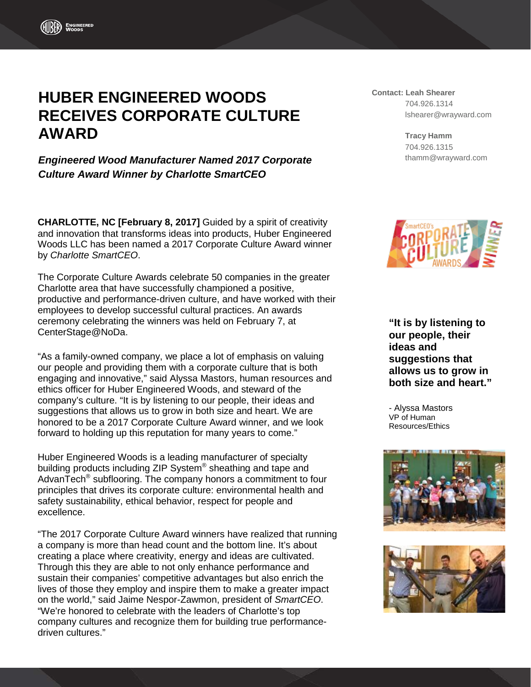# **HUBER ENGINEERED WOODS RECEIVES CORPORATE CULTURE AWARD**

*Engineered Wood Manufacturer Named 2017 Corporate Culture Award Winner by Charlotte SmartCEO*

**CHARLOTTE, NC [February 8, 2017]** Guided by a spirit of creativity and innovation that transforms ideas into products, Huber Engineered Woods LLC has been named a 2017 Corporate Culture Award winner by *Charlotte SmartCEO*.

The Corporate Culture Awards celebrate 50 companies in the greater Charlotte area that have successfully championed a positive, productive and performance-driven culture, and have worked with their employees to develop successful cultural practices. An awards ceremony celebrating the winners was held on February 7, at CenterStage@NoDa.

"As a family-owned company, we place a lot of emphasis on valuing our people and providing them with a corporate culture that is both engaging and innovative," said Alyssa Mastors, human resources and ethics officer for Huber Engineered Woods, and steward of the company's culture. "It is by listening to our people, their ideas and suggestions that allows us to grow in both size and heart. We are honored to be a 2017 Corporate Culture Award winner, and we look forward to holding up this reputation for many years to come."

Huber Engineered Woods is a leading manufacturer of specialty building products including ZIP System® sheathing and tape and AdvanTech<sup>®</sup> subflooring. The company honors a commitment to four principles that drives its corporate culture: environmental health and safety sustainability, ethical behavior, respect for people and excellence.

"The 2017 Corporate Culture Award winners have realized that running a company is more than head count and the bottom line. It's about creating a place where creativity, energy and ideas are cultivated. Through this they are able to not only enhance performance and sustain their companies' competitive advantages but also enrich the lives of those they employ and inspire them to make a greater impact on the world," said Jaime Nespor-Zawmon, president of *SmartCEO*. "We're honored to celebrate with the leaders of Charlotte's top company cultures and recognize them for building true performancedriven cultures."

## **Contact: Leah Shearer** 704.926.1314 lshearer@wrayward.com

**Tracy Hamm** 704.926.1315 thamm@wrayward.com



**"It is by listening to our people, their ideas and suggestions that allows us to grow in both size and heart."**

- Alyssa Mastors VP of Human Resources/Ethics